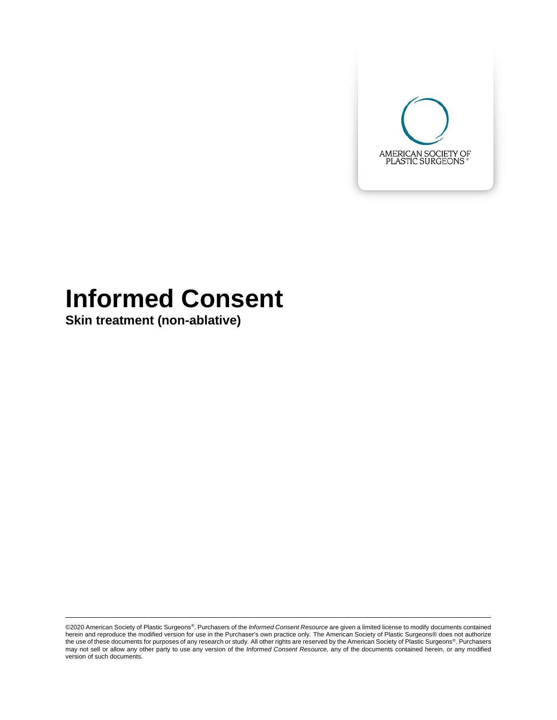

# **Informed Consent**

**Skin treatment (non-ablative)**

©2020 American Society of Plastic Surgeons®. Purchasers of the *Informed Consent Resource* are given a limited license to modify documents contained herein and reproduce the modified version for use in the Purchaser's own practice only. The American Society of Plastic Surgeons® does not authorize<br>the use of these documents for purposes of any research or study. All oth may not sell or allow any other party to use any version of the *Informed Consent Resource,* any of the documents contained herein, or any modified version of such documents.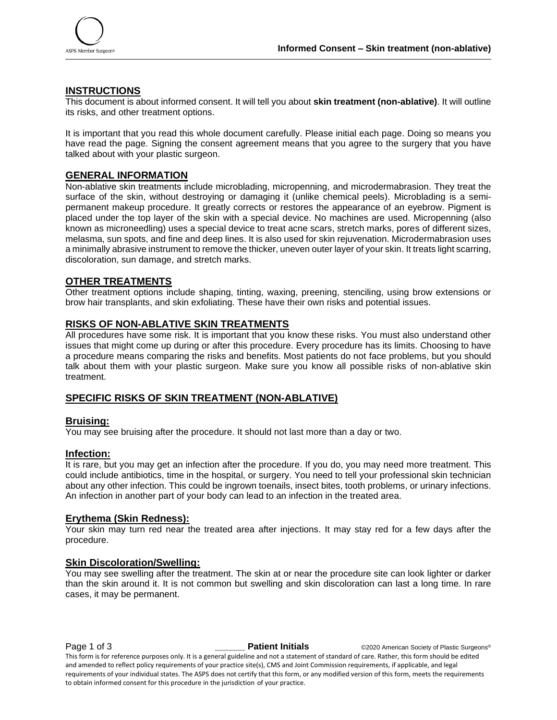

### **INSTRUCTIONS**

This document is about informed consent. It will tell you about **skin treatment (non-ablative)**. It will outline its risks, and other treatment options.

It is important that you read this whole document carefully. Please initial each page. Doing so means you have read the page. Signing the consent agreement means that you agree to the surgery that you have talked about with your plastic surgeon.

#### **GENERAL INFORMATION**

Non-ablative skin treatments include microblading, micropenning, and microdermabrasion. They treat the surface of the skin, without destroying or damaging it (unlike chemical peels). Microblading is a semipermanent makeup procedure. It greatly corrects or restores the appearance of an eyebrow. Pigment is placed under the top layer of the skin with a special device. No machines are used. Micropenning (also known as microneedling) uses a special device to treat acne scars, stretch marks, pores of different sizes, melasma, sun spots, and fine and deep lines. It is also used for skin rejuvenation. Microdermabrasion uses a minimally abrasive instrument to remove the thicker, uneven outer layer of your skin. It treats light scarring, discoloration, sun damage, and stretch marks.

#### **OTHER TREATMENTS**

Other treatment options include shaping, tinting, waxing, preening, stenciling, using brow extensions or brow hair transplants, and skin exfoliating. These have their own risks and potential issues.

#### **RISKS OF NON-ABLATIVE SKIN TREATMENTS**

All procedures have some risk. It is important that you know these risks. You must also understand other issues that might come up during or after this procedure. Every procedure has its limits. Choosing to have a procedure means comparing the risks and benefits. Most patients do not face problems, but you should talk about them with your plastic surgeon. Make sure you know all possible risks of non-ablative skin treatment.

#### **SPECIFIC RISKS OF SKIN TREATMENT (NON-ABLATIVE)**

#### **Bruising:**

You may see bruising after the procedure. It should not last more than a day or two.

#### **Infection:**

It is rare, but you may get an infection after the procedure. If you do, you may need more treatment. This could include antibiotics, time in the hospital, or surgery. You need to tell your professional skin technician about any other infection. This could be ingrown toenails, insect bites, tooth problems, or urinary infections. An infection in another part of your body can lead to an infection in the treated area.

#### **Erythema (Skin Redness):**

Your skin may turn red near the treated area after injections. It may stay red for a few days after the procedure.

#### **Skin Discoloration/Swelling:**

You may see swelling after the treatment. The skin at or near the procedure site can look lighter or darker than the skin around it. It is not common but swelling and skin discoloration can last a long time. In rare cases, it may be permanent.

**Page 1 of 3 Patient Initials** ©2020 American Society of Plastic Surgeons® This form is for reference purposes only. It is a general guideline and not a statement of standard of care. Rather, this form should be edited and amended to reflect policy requirements of your practice site(s), CMS and Joint Commission requirements, if applicable, and legal requirements of your individual states. The ASPS does not certify that this form, or any modified version of this form, meets the requirements to obtain informed consent for this procedure in the jurisdiction of your practice.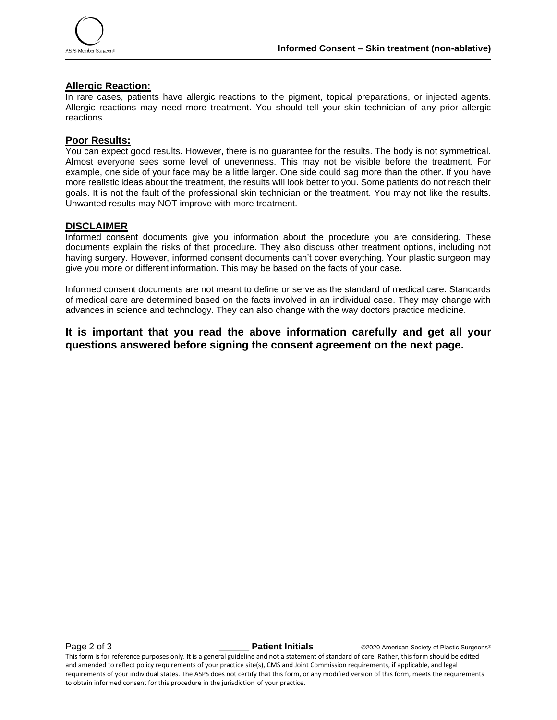

#### **Allergic Reaction:**

In rare cases, patients have allergic reactions to the pigment, topical preparations, or injected agents. Allergic reactions may need more treatment. You should tell your skin technician of any prior allergic reactions.

#### **Poor Results:**

You can expect good results. However, there is no guarantee for the results. The body is not symmetrical. Almost everyone sees some level of unevenness. This may not be visible before the treatment. For example, one side of your face may be a little larger. One side could sag more than the other. If you have more realistic ideas about the treatment, the results will look better to you. Some patients do not reach their goals. It is not the fault of the professional skin technician or the treatment. You may not like the results. Unwanted results may NOT improve with more treatment.

#### **DISCLAIMER**

Informed consent documents give you information about the procedure you are considering. These documents explain the risks of that procedure. They also discuss other treatment options, including not having surgery. However, informed consent documents can't cover everything. Your plastic surgeon may give you more or different information. This may be based on the facts of your case.

Informed consent documents are not meant to define or serve as the standard of medical care. Standards of medical care are determined based on the facts involved in an individual case. They may change with advances in science and technology. They can also change with the way doctors practice medicine.

## **It is important that you read the above information carefully and get all your questions answered before signing the consent agreement on the next page.**

**Page 2 of 3 Patient Initials COVID-2020** American Society of Plastic Surgeons®